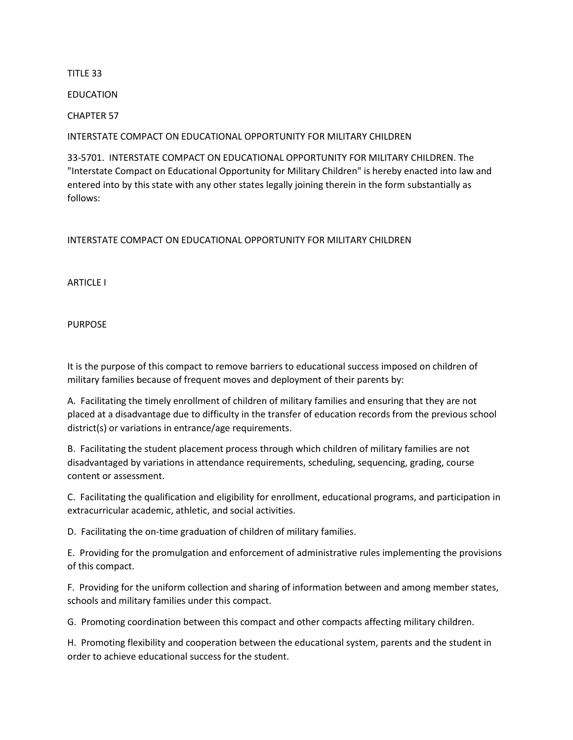#### TITLE 33

EDUCATION

CHAPTER 57

### INTERSTATE COMPACT ON EDUCATIONAL OPPORTUNITY FOR MILITARY CHILDREN

33-5701. INTERSTATE COMPACT ON EDUCATIONAL OPPORTUNITY FOR MILITARY CHILDREN. The "Interstate Compact on Educational Opportunity for Military Children" is hereby enacted into law and entered into by this state with any other states legally joining therein in the form substantially as follows:

## INTERSTATE COMPACT ON EDUCATIONAL OPPORTUNITY FOR MILITARY CHILDREN

ARTICLE I

PURPOSE

It is the purpose of this compact to remove barriers to educational success imposed on children of military families because of frequent moves and deployment of their parents by:

A. Facilitating the timely enrollment of children of military families and ensuring that they are not placed at a disadvantage due to difficulty in the transfer of education records from the previous school district(s) or variations in entrance/age requirements.

B. Facilitating the student placement process through which children of military families are not disadvantaged by variations in attendance requirements, scheduling, sequencing, grading, course content or assessment.

C. Facilitating the qualification and eligibility for enrollment, educational programs, and participation in extracurricular academic, athletic, and social activities.

D. Facilitating the on-time graduation of children of military families.

E. Providing for the promulgation and enforcement of administrative rules implementing the provisions of this compact.

F. Providing for the uniform collection and sharing of information between and among member states, schools and military families under this compact.

G. Promoting coordination between this compact and other compacts affecting military children.

H. Promoting flexibility and cooperation between the educational system, parents and the student in order to achieve educational success for the student.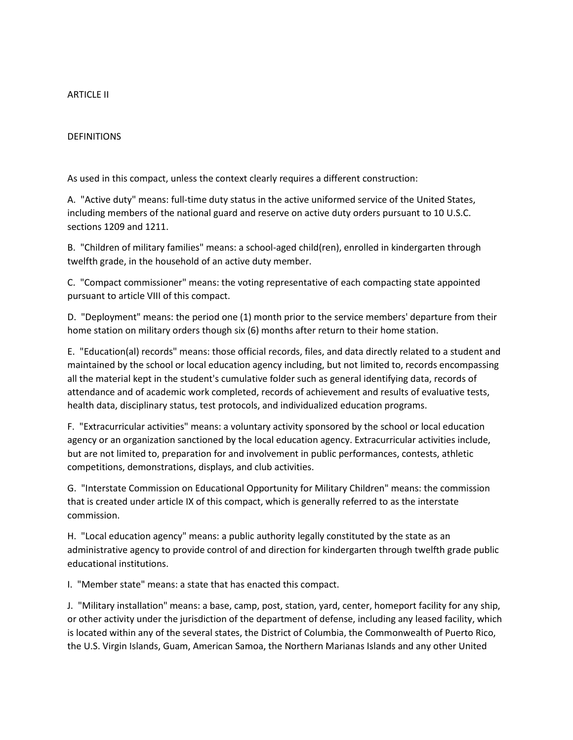### ARTICLE II

#### DEFINITIONS

As used in this compact, unless the context clearly requires a different construction:

A. "Active duty" means: full-time duty status in the active uniformed service of the United States, including members of the national guard and reserve on active duty orders pursuant to 10 U.S.C. sections 1209 and 1211.

B. "Children of military families" means: a school-aged child(ren), enrolled in kindergarten through twelfth grade, in the household of an active duty member.

C. "Compact commissioner" means: the voting representative of each compacting state appointed pursuant to article VIII of this compact.

D. "Deployment" means: the period one (1) month prior to the service members' departure from their home station on military orders though six (6) months after return to their home station.

E. "Education(al) records" means: those official records, files, and data directly related to a student and maintained by the school or local education agency including, but not limited to, records encompassing all the material kept in the student's cumulative folder such as general identifying data, records of attendance and of academic work completed, records of achievement and results of evaluative tests, health data, disciplinary status, test protocols, and individualized education programs.

F. "Extracurricular activities" means: a voluntary activity sponsored by the school or local education agency or an organization sanctioned by the local education agency. Extracurricular activities include, but are not limited to, preparation for and involvement in public performances, contests, athletic competitions, demonstrations, displays, and club activities.

G. "Interstate Commission on Educational Opportunity for Military Children" means: the commission that is created under article IX of this compact, which is generally referred to as the interstate commission.

H. "Local education agency" means: a public authority legally constituted by the state as an administrative agency to provide control of and direction for kindergarten through twelfth grade public educational institutions.

I. "Member state" means: a state that has enacted this compact.

J. "Military installation" means: a base, camp, post, station, yard, center, homeport facility for any ship, or other activity under the jurisdiction of the department of defense, including any leased facility, which is located within any of the several states, the District of Columbia, the Commonwealth of Puerto Rico, the U.S. Virgin Islands, Guam, American Samoa, the Northern Marianas Islands and any other United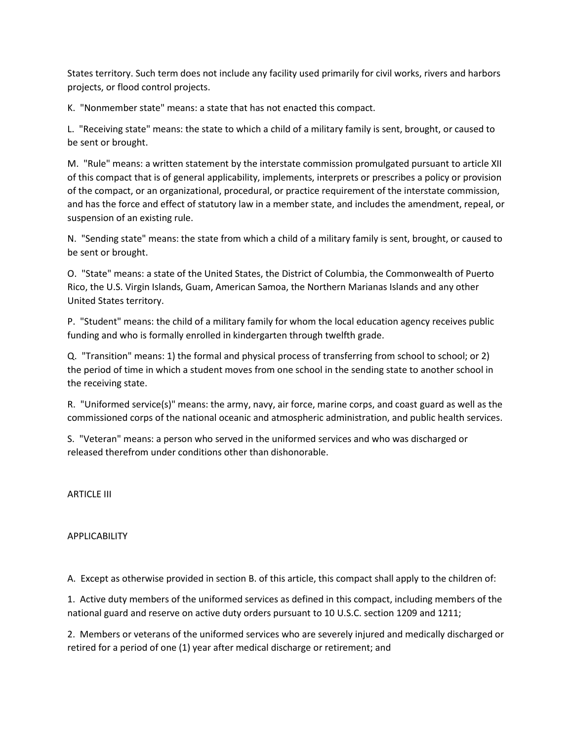States territory. Such term does not include any facility used primarily for civil works, rivers and harbors projects, or flood control projects.

K. "Nonmember state" means: a state that has not enacted this compact.

L. "Receiving state" means: the state to which a child of a military family is sent, brought, or caused to be sent or brought.

M. "Rule" means: a written statement by the interstate commission promulgated pursuant to article XII of this compact that is of general applicability, implements, interprets or prescribes a policy or provision of the compact, or an organizational, procedural, or practice requirement of the interstate commission, and has the force and effect of statutory law in a member state, and includes the amendment, repeal, or suspension of an existing rule.

N. "Sending state" means: the state from which a child of a military family is sent, brought, or caused to be sent or brought.

O. "State" means: a state of the United States, the District of Columbia, the Commonwealth of Puerto Rico, the U.S. Virgin Islands, Guam, American Samoa, the Northern Marianas Islands and any other United States territory.

P. "Student" means: the child of a military family for whom the local education agency receives public funding and who is formally enrolled in kindergarten through twelfth grade.

Q. "Transition" means: 1) the formal and physical process of transferring from school to school; or 2) the period of time in which a student moves from one school in the sending state to another school in the receiving state.

R. "Uniformed service(s)" means: the army, navy, air force, marine corps, and coast guard as well as the commissioned corps of the national oceanic and atmospheric administration, and public health services.

S. "Veteran" means: a person who served in the uniformed services and who was discharged or released therefrom under conditions other than dishonorable.

ARTICLE III

### **APPLICABILITY**

A. Except as otherwise provided in section B. of this article, this compact shall apply to the children of:

1. Active duty members of the uniformed services as defined in this compact, including members of the national guard and reserve on active duty orders pursuant to 10 U.S.C. section 1209 and 1211;

2. Members or veterans of the uniformed services who are severely injured and medically discharged or retired for a period of one (1) year after medical discharge or retirement; and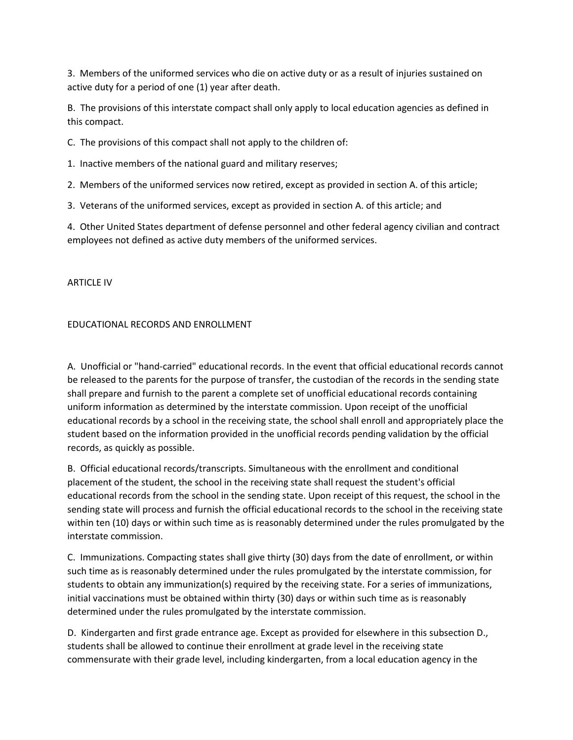3. Members of the uniformed services who die on active duty or as a result of injuries sustained on active duty for a period of one (1) year after death.

B. The provisions of this interstate compact shall only apply to local education agencies as defined in this compact.

C. The provisions of this compact shall not apply to the children of:

1. Inactive members of the national guard and military reserves;

2. Members of the uniformed services now retired, except as provided in section A. of this article;

3. Veterans of the uniformed services, except as provided in section A. of this article; and

4. Other United States department of defense personnel and other federal agency civilian and contract employees not defined as active duty members of the uniformed services.

ARTICLE IV

## EDUCATIONAL RECORDS AND ENROLLMENT

A. Unofficial or "hand-carried" educational records. In the event that official educational records cannot be released to the parents for the purpose of transfer, the custodian of the records in the sending state shall prepare and furnish to the parent a complete set of unofficial educational records containing uniform information as determined by the interstate commission. Upon receipt of the unofficial educational records by a school in the receiving state, the school shall enroll and appropriately place the student based on the information provided in the unofficial records pending validation by the official records, as quickly as possible.

B. Official educational records/transcripts. Simultaneous with the enrollment and conditional placement of the student, the school in the receiving state shall request the student's official educational records from the school in the sending state. Upon receipt of this request, the school in the sending state will process and furnish the official educational records to the school in the receiving state within ten (10) days or within such time as is reasonably determined under the rules promulgated by the interstate commission.

C. Immunizations. Compacting states shall give thirty (30) days from the date of enrollment, or within such time as is reasonably determined under the rules promulgated by the interstate commission, for students to obtain any immunization(s) required by the receiving state. For a series of immunizations, initial vaccinations must be obtained within thirty (30) days or within such time as is reasonably determined under the rules promulgated by the interstate commission.

D. Kindergarten and first grade entrance age. Except as provided for elsewhere in this subsection D., students shall be allowed to continue their enrollment at grade level in the receiving state commensurate with their grade level, including kindergarten, from a local education agency in the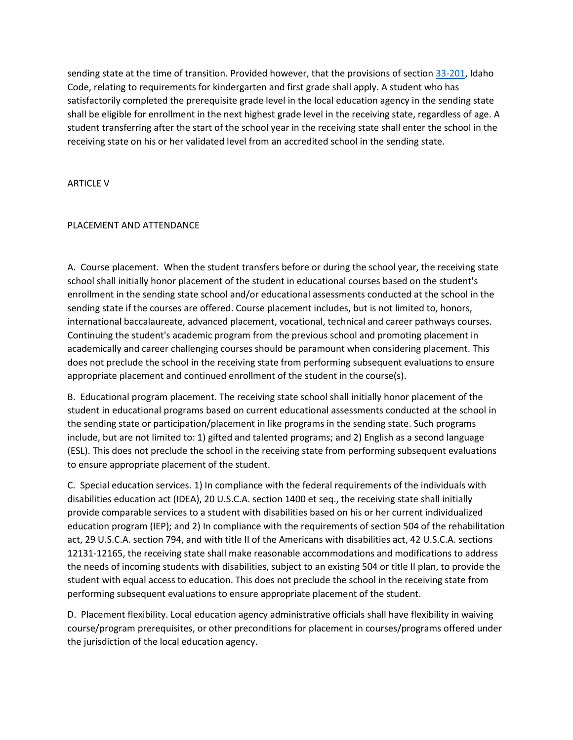sending state at the time of transition. Provided however, that the provisions of section [33-201,](https://legislature.idaho.gov/idstat/Title33/T33CH2SECT33-201.htm) Idaho Code, relating to requirements for kindergarten and first grade shall apply. A student who has satisfactorily completed the prerequisite grade level in the local education agency in the sending state shall be eligible for enrollment in the next highest grade level in the receiving state, regardless of age. A student transferring after the start of the school year in the receiving state shall enter the school in the receiving state on his or her validated level from an accredited school in the sending state.

**ARTICLE V** 

## PLACEMENT AND ATTENDANCE

A. Course placement. When the student transfers before or during the school year, the receiving state school shall initially honor placement of the student in educational courses based on the student's enrollment in the sending state school and/or educational assessments conducted at the school in the sending state if the courses are offered. Course placement includes, but is not limited to, honors, international baccalaureate, advanced placement, vocational, technical and career pathways courses. Continuing the student's academic program from the previous school and promoting placement in academically and career challenging courses should be paramount when considering placement. This does not preclude the school in the receiving state from performing subsequent evaluations to ensure appropriate placement and continued enrollment of the student in the course(s).

B. Educational program placement. The receiving state school shall initially honor placement of the student in educational programs based on current educational assessments conducted at the school in the sending state or participation/placement in like programs in the sending state. Such programs include, but are not limited to: 1) gifted and talented programs; and 2) English as a second language (ESL). This does not preclude the school in the receiving state from performing subsequent evaluations to ensure appropriate placement of the student.

C. Special education services. 1) In compliance with the federal requirements of the individuals with disabilities education act (IDEA), 20 U.S.C.A. section 1400 et seq., the receiving state shall initially provide comparable services to a student with disabilities based on his or her current individualized education program (IEP); and 2) In compliance with the requirements of section 504 of the rehabilitation act, 29 U.S.C.A. section 794, and with title II of the Americans with disabilities act, 42 U.S.C.A. sections 12131-12165, the receiving state shall make reasonable accommodations and modifications to address the needs of incoming students with disabilities, subject to an existing 504 or title II plan, to provide the student with equal access to education. This does not preclude the school in the receiving state from performing subsequent evaluations to ensure appropriate placement of the student.

D. Placement flexibility. Local education agency administrative officials shall have flexibility in waiving course/program prerequisites, or other preconditions for placement in courses/programs offered under the jurisdiction of the local education agency.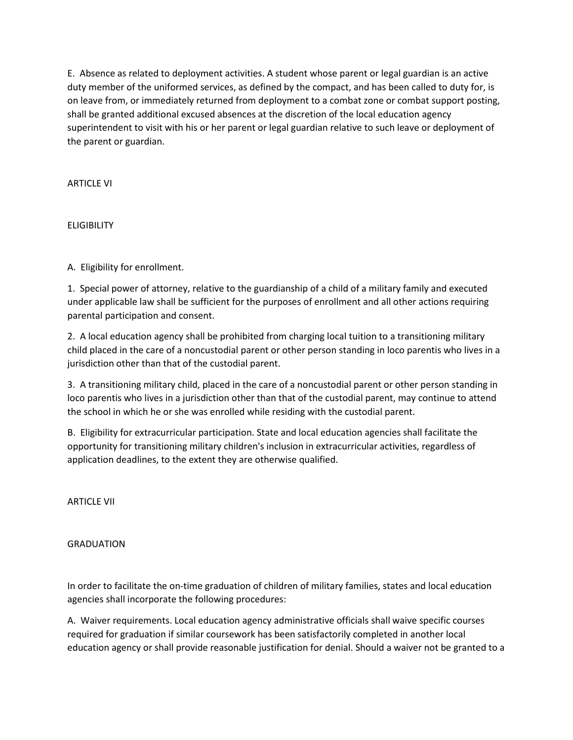E. Absence as related to deployment activities. A student whose parent or legal guardian is an active duty member of the uniformed services, as defined by the compact, and has been called to duty for, is on leave from, or immediately returned from deployment to a combat zone or combat support posting, shall be granted additional excused absences at the discretion of the local education agency superintendent to visit with his or her parent or legal guardian relative to such leave or deployment of the parent or guardian.

**ARTICLE VI** 

**ELIGIBILITY** 

A. Eligibility for enrollment.

1. Special power of attorney, relative to the guardianship of a child of a military family and executed under applicable law shall be sufficient for the purposes of enrollment and all other actions requiring parental participation and consent.

2. A local education agency shall be prohibited from charging local tuition to a transitioning military child placed in the care of a noncustodial parent or other person standing in loco parentis who lives in a jurisdiction other than that of the custodial parent.

3. A transitioning military child, placed in the care of a noncustodial parent or other person standing in loco parentis who lives in a jurisdiction other than that of the custodial parent, may continue to attend the school in which he or she was enrolled while residing with the custodial parent.

B. Eligibility for extracurricular participation. State and local education agencies shall facilitate the opportunity for transitioning military children's inclusion in extracurricular activities, regardless of application deadlines, to the extent they are otherwise qualified.

ARTICLE VII

GRADUATION

In order to facilitate the on-time graduation of children of military families, states and local education agencies shall incorporate the following procedures:

A. Waiver requirements. Local education agency administrative officials shall waive specific courses required for graduation if similar coursework has been satisfactorily completed in another local education agency or shall provide reasonable justification for denial. Should a waiver not be granted to a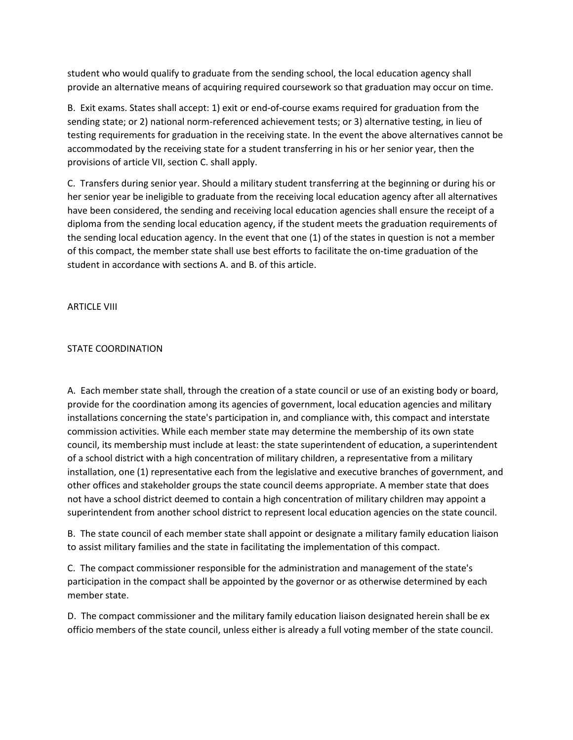student who would qualify to graduate from the sending school, the local education agency shall provide an alternative means of acquiring required coursework so that graduation may occur on time.

B. Exit exams. States shall accept: 1) exit or end-of-course exams required for graduation from the sending state; or 2) national norm-referenced achievement tests; or 3) alternative testing, in lieu of testing requirements for graduation in the receiving state. In the event the above alternatives cannot be accommodated by the receiving state for a student transferring in his or her senior year, then the provisions of article VII, section C. shall apply.

C. Transfers during senior year. Should a military student transferring at the beginning or during his or her senior year be ineligible to graduate from the receiving local education agency after all alternatives have been considered, the sending and receiving local education agencies shall ensure the receipt of a diploma from the sending local education agency, if the student meets the graduation requirements of the sending local education agency. In the event that one (1) of the states in question is not a member of this compact, the member state shall use best efforts to facilitate the on-time graduation of the student in accordance with sections A. and B. of this article.

**ARTICLE VIII** 

## STATE COORDINATION

A. Each member state shall, through the creation of a state council or use of an existing body or board, provide for the coordination among its agencies of government, local education agencies and military installations concerning the state's participation in, and compliance with, this compact and interstate commission activities. While each member state may determine the membership of its own state council, its membership must include at least: the state superintendent of education, a superintendent of a school district with a high concentration of military children, a representative from a military installation, one (1) representative each from the legislative and executive branches of government, and other offices and stakeholder groups the state council deems appropriate. A member state that does not have a school district deemed to contain a high concentration of military children may appoint a superintendent from another school district to represent local education agencies on the state council.

B. The state council of each member state shall appoint or designate a military family education liaison to assist military families and the state in facilitating the implementation of this compact.

C. The compact commissioner responsible for the administration and management of the state's participation in the compact shall be appointed by the governor or as otherwise determined by each member state.

D. The compact commissioner and the military family education liaison designated herein shall be ex officio members of the state council, unless either is already a full voting member of the state council.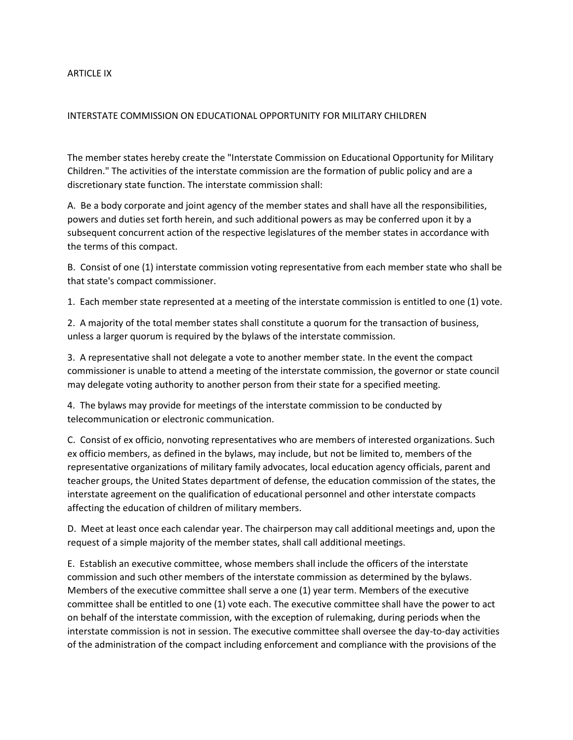### ARTICLE IX

#### INTERSTATE COMMISSION ON EDUCATIONAL OPPORTUNITY FOR MILITARY CHILDREN

The member states hereby create the "Interstate Commission on Educational Opportunity for Military Children." The activities of the interstate commission are the formation of public policy and are a discretionary state function. The interstate commission shall:

A. Be a body corporate and joint agency of the member states and shall have all the responsibilities, powers and duties set forth herein, and such additional powers as may be conferred upon it by a subsequent concurrent action of the respective legislatures of the member states in accordance with the terms of this compact.

B. Consist of one (1) interstate commission voting representative from each member state who shall be that state's compact commissioner.

1. Each member state represented at a meeting of the interstate commission is entitled to one (1) vote.

2. A majority of the total member states shall constitute a quorum for the transaction of business, unless a larger quorum is required by the bylaws of the interstate commission.

3. A representative shall not delegate a vote to another member state. In the event the compact commissioner is unable to attend a meeting of the interstate commission, the governor or state council may delegate voting authority to another person from their state for a specified meeting.

4. The bylaws may provide for meetings of the interstate commission to be conducted by telecommunication or electronic communication.

C. Consist of ex officio, nonvoting representatives who are members of interested organizations. Such ex officio members, as defined in the bylaws, may include, but not be limited to, members of the representative organizations of military family advocates, local education agency officials, parent and teacher groups, the United States department of defense, the education commission of the states, the interstate agreement on the qualification of educational personnel and other interstate compacts affecting the education of children of military members.

D. Meet at least once each calendar year. The chairperson may call additional meetings and, upon the request of a simple majority of the member states, shall call additional meetings.

E. Establish an executive committee, whose members shall include the officers of the interstate commission and such other members of the interstate commission as determined by the bylaws. Members of the executive committee shall serve a one (1) year term. Members of the executive committee shall be entitled to one (1) vote each. The executive committee shall have the power to act on behalf of the interstate commission, with the exception of rulemaking, during periods when the interstate commission is not in session. The executive committee shall oversee the day-to-day activities of the administration of the compact including enforcement and compliance with the provisions of the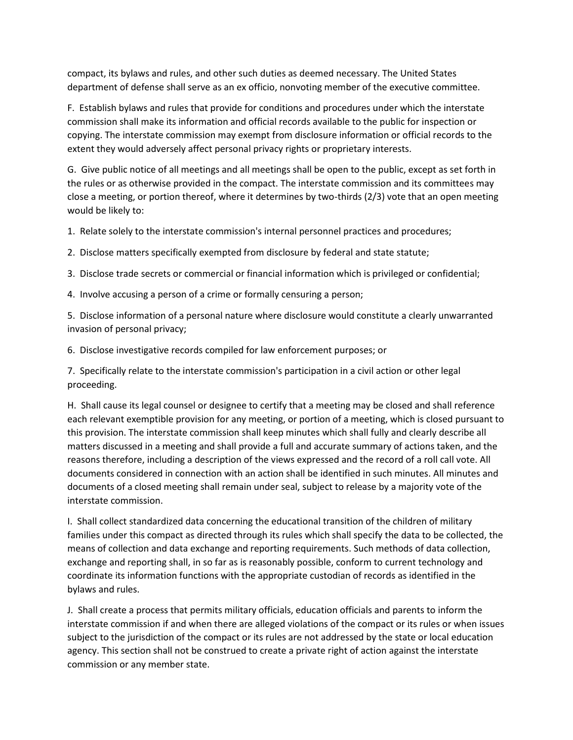compact, its bylaws and rules, and other such duties as deemed necessary. The United States department of defense shall serve as an ex officio, nonvoting member of the executive committee.

F. Establish bylaws and rules that provide for conditions and procedures under which the interstate commission shall make its information and official records available to the public for inspection or copying. The interstate commission may exempt from disclosure information or official records to the extent they would adversely affect personal privacy rights or proprietary interests.

G. Give public notice of all meetings and all meetings shall be open to the public, except as set forth in the rules or as otherwise provided in the compact. The interstate commission and its committees may close a meeting, or portion thereof, where it determines by two-thirds (2/3) vote that an open meeting would be likely to:

1. Relate solely to the interstate commission's internal personnel practices and procedures;

2. Disclose matters specifically exempted from disclosure by federal and state statute;

3. Disclose trade secrets or commercial or financial information which is privileged or confidential;

4. Involve accusing a person of a crime or formally censuring a person;

5. Disclose information of a personal nature where disclosure would constitute a clearly unwarranted invasion of personal privacy;

6. Disclose investigative records compiled for law enforcement purposes; or

7. Specifically relate to the interstate commission's participation in a civil action or other legal proceeding.

H. Shall cause its legal counsel or designee to certify that a meeting may be closed and shall reference each relevant exemptible provision for any meeting, or portion of a meeting, which is closed pursuant to this provision. The interstate commission shall keep minutes which shall fully and clearly describe all matters discussed in a meeting and shall provide a full and accurate summary of actions taken, and the reasons therefore, including a description of the views expressed and the record of a roll call vote. All documents considered in connection with an action shall be identified in such minutes. All minutes and documents of a closed meeting shall remain under seal, subject to release by a majority vote of the interstate commission.

I. Shall collect standardized data concerning the educational transition of the children of military families under this compact as directed through its rules which shall specify the data to be collected, the means of collection and data exchange and reporting requirements. Such methods of data collection, exchange and reporting shall, in so far as is reasonably possible, conform to current technology and coordinate its information functions with the appropriate custodian of records as identified in the bylaws and rules.

J. Shall create a process that permits military officials, education officials and parents to inform the interstate commission if and when there are alleged violations of the compact or its rules or when issues subject to the jurisdiction of the compact or its rules are not addressed by the state or local education agency. This section shall not be construed to create a private right of action against the interstate commission or any member state.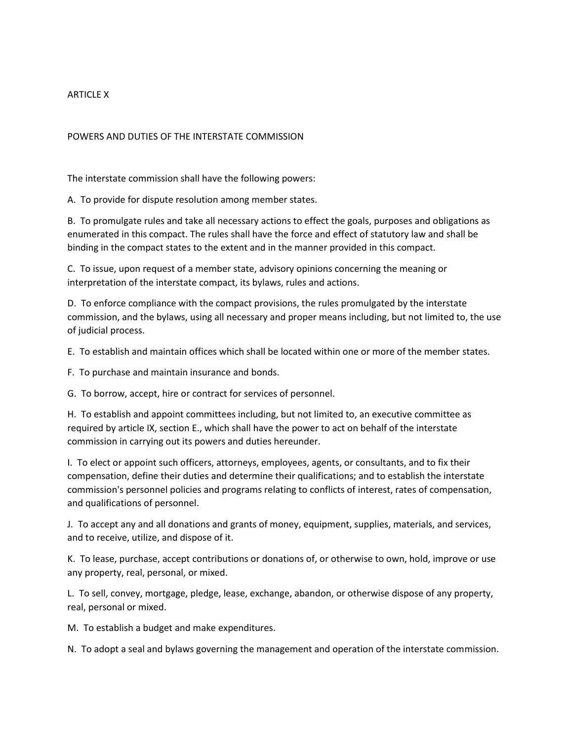### ARTICLE X

### POWERS AND DUTIES OF THE INTERSTATE COMMISSION

The interstate commission shall have the following powers:

A. To provide for dispute resolution among member states.

B. To promulgate rules and take all necessary actions to effect the goals, purposes and obligations as enumerated in this compact. The rules shall have the force and effect of statutory law and shall be binding in the compact states to the extent and in the manner provided in this compact.

C. To issue, upon request of a member state, advisory opinions concerning the meaning or interpretation of the interstate compact, its bylaws, rules and actions.

D. To enforce compliance with the compact provisions, the rules promulgated by the interstate commission, and the bylaws, using all necessary and proper means including, but not limited to, the use of judicial process.

E. To establish and maintain offices which shall be located within one or more of the member states.

F. To purchase and maintain insurance and bonds.

G. To borrow, accept, hire or contract for services of personnel.

H. To establish and appoint committees including, but not limited to, an executive committee as required by article IX, section E., which shall have the power to act on behalf of the interstate commission in carrying out its powers and duties hereunder.

I. To elect or appoint such officers, attorneys, employees, agents, or consultants, and to fix their compensation, define their duties and determine their qualifications; and to establish the interstate commission's personnel policies and programs relating to conflicts of interest, rates of compensation, and qualifications of personnel.

J. To accept any and all donations and grants of money, equipment, supplies, materials, and services, and to receive, utilize, and dispose of it.

K. To lease, purchase, accept contributions or donations of, or otherwise to own, hold, improve or use any property, real, personal, or mixed.

L. To sell, convey, mortgage, pledge, lease, exchange, abandon, or otherwise dispose of any property, real, personal or mixed.

M. To establish a budget and make expenditures.

N. To adopt a seal and bylaws governing the management and operation of the interstate commission.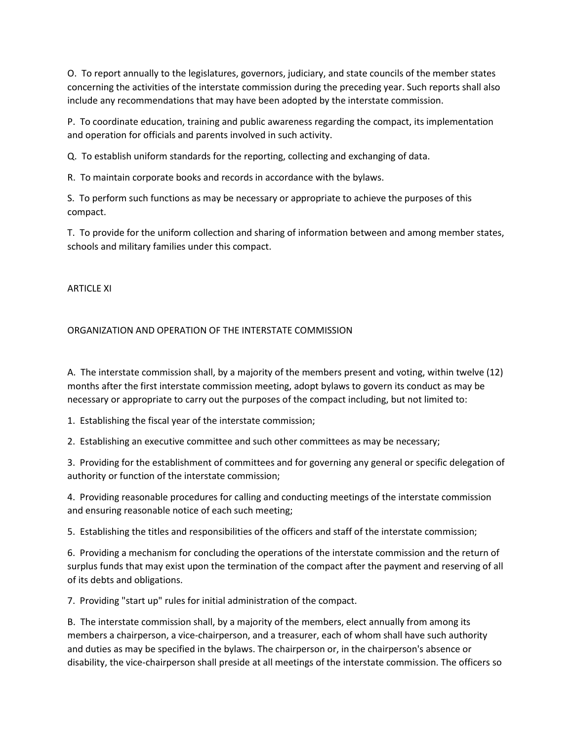O. To report annually to the legislatures, governors, judiciary, and state councils of the member states concerning the activities of the interstate commission during the preceding year. Such reports shall also include any recommendations that may have been adopted by the interstate commission.

P. To coordinate education, training and public awareness regarding the compact, its implementation and operation for officials and parents involved in such activity.

Q. To establish uniform standards for the reporting, collecting and exchanging of data.

R. To maintain corporate books and records in accordance with the bylaws.

S. To perform such functions as may be necessary or appropriate to achieve the purposes of this compact.

T. To provide for the uniform collection and sharing of information between and among member states, schools and military families under this compact.

### ARTICLE XI

## ORGANIZATION AND OPERATION OF THE INTERSTATE COMMISSION

A. The interstate commission shall, by a majority of the members present and voting, within twelve (12) months after the first interstate commission meeting, adopt bylaws to govern its conduct as may be necessary or appropriate to carry out the purposes of the compact including, but not limited to:

1. Establishing the fiscal year of the interstate commission;

2. Establishing an executive committee and such other committees as may be necessary;

3. Providing for the establishment of committees and for governing any general or specific delegation of authority or function of the interstate commission;

4. Providing reasonable procedures for calling and conducting meetings of the interstate commission and ensuring reasonable notice of each such meeting;

5. Establishing the titles and responsibilities of the officers and staff of the interstate commission;

6. Providing a mechanism for concluding the operations of the interstate commission and the return of surplus funds that may exist upon the termination of the compact after the payment and reserving of all of its debts and obligations.

7. Providing "start up" rules for initial administration of the compact.

B. The interstate commission shall, by a majority of the members, elect annually from among its members a chairperson, a vice-chairperson, and a treasurer, each of whom shall have such authority and duties as may be specified in the bylaws. The chairperson or, in the chairperson's absence or disability, the vice-chairperson shall preside at all meetings of the interstate commission. The officers so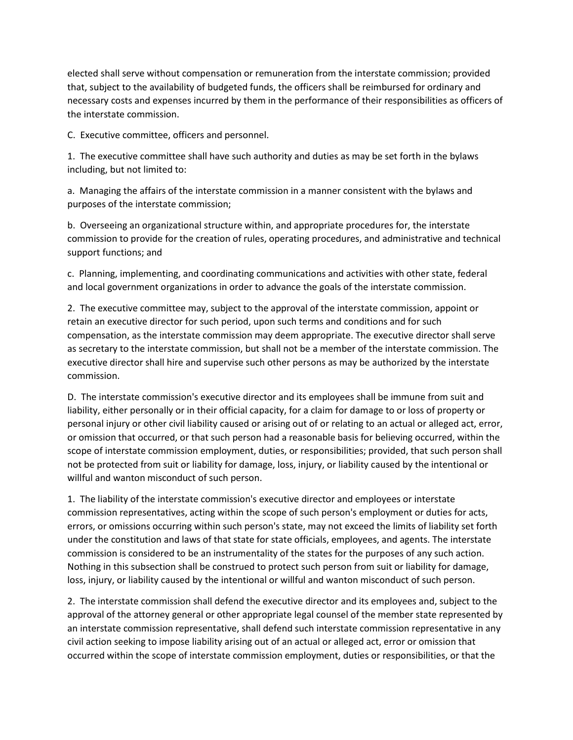elected shall serve without compensation or remuneration from the interstate commission; provided that, subject to the availability of budgeted funds, the officers shall be reimbursed for ordinary and necessary costs and expenses incurred by them in the performance of their responsibilities as officers of the interstate commission.

C. Executive committee, officers and personnel.

1. The executive committee shall have such authority and duties as may be set forth in the bylaws including, but not limited to:

a. Managing the affairs of the interstate commission in a manner consistent with the bylaws and purposes of the interstate commission;

b. Overseeing an organizational structure within, and appropriate procedures for, the interstate commission to provide for the creation of rules, operating procedures, and administrative and technical support functions; and

c. Planning, implementing, and coordinating communications and activities with other state, federal and local government organizations in order to advance the goals of the interstate commission.

2. The executive committee may, subject to the approval of the interstate commission, appoint or retain an executive director for such period, upon such terms and conditions and for such compensation, as the interstate commission may deem appropriate. The executive director shall serve as secretary to the interstate commission, but shall not be a member of the interstate commission. The executive director shall hire and supervise such other persons as may be authorized by the interstate commission.

D. The interstate commission's executive director and its employees shall be immune from suit and liability, either personally or in their official capacity, for a claim for damage to or loss of property or personal injury or other civil liability caused or arising out of or relating to an actual or alleged act, error, or omission that occurred, or that such person had a reasonable basis for believing occurred, within the scope of interstate commission employment, duties, or responsibilities; provided, that such person shall not be protected from suit or liability for damage, loss, injury, or liability caused by the intentional or willful and wanton misconduct of such person.

1. The liability of the interstate commission's executive director and employees or interstate commission representatives, acting within the scope of such person's employment or duties for acts, errors, or omissions occurring within such person's state, may not exceed the limits of liability set forth under the constitution and laws of that state for state officials, employees, and agents. The interstate commission is considered to be an instrumentality of the states for the purposes of any such action. Nothing in this subsection shall be construed to protect such person from suit or liability for damage, loss, injury, or liability caused by the intentional or willful and wanton misconduct of such person.

2. The interstate commission shall defend the executive director and its employees and, subject to the approval of the attorney general or other appropriate legal counsel of the member state represented by an interstate commission representative, shall defend such interstate commission representative in any civil action seeking to impose liability arising out of an actual or alleged act, error or omission that occurred within the scope of interstate commission employment, duties or responsibilities, or that the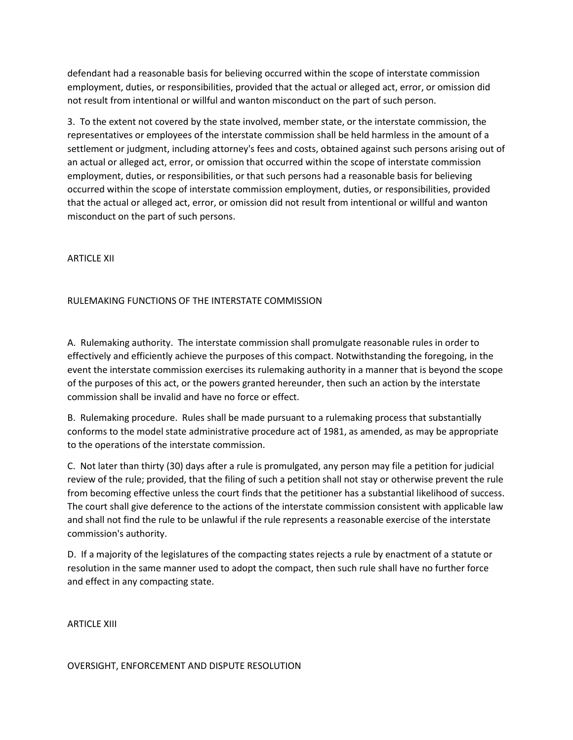defendant had a reasonable basis for believing occurred within the scope of interstate commission employment, duties, or responsibilities, provided that the actual or alleged act, error, or omission did not result from intentional or willful and wanton misconduct on the part of such person.

3. To the extent not covered by the state involved, member state, or the interstate commission, the representatives or employees of the interstate commission shall be held harmless in the amount of a settlement or judgment, including attorney's fees and costs, obtained against such persons arising out of an actual or alleged act, error, or omission that occurred within the scope of interstate commission employment, duties, or responsibilities, or that such persons had a reasonable basis for believing occurred within the scope of interstate commission employment, duties, or responsibilities, provided that the actual or alleged act, error, or omission did not result from intentional or willful and wanton misconduct on the part of such persons.

### ARTICLE XII

## RULEMAKING FUNCTIONS OF THE INTERSTATE COMMISSION

A. Rulemaking authority. The interstate commission shall promulgate reasonable rules in order to effectively and efficiently achieve the purposes of this compact. Notwithstanding the foregoing, in the event the interstate commission exercises its rulemaking authority in a manner that is beyond the scope of the purposes of this act, or the powers granted hereunder, then such an action by the interstate commission shall be invalid and have no force or effect.

B. Rulemaking procedure. Rules shall be made pursuant to a rulemaking process that substantially conforms to the model state administrative procedure act of 1981, as amended, as may be appropriate to the operations of the interstate commission.

C. Not later than thirty (30) days after a rule is promulgated, any person may file a petition for judicial review of the rule; provided, that the filing of such a petition shall not stay or otherwise prevent the rule from becoming effective unless the court finds that the petitioner has a substantial likelihood of success. The court shall give deference to the actions of the interstate commission consistent with applicable law and shall not find the rule to be unlawful if the rule represents a reasonable exercise of the interstate commission's authority.

D. If a majority of the legislatures of the compacting states rejects a rule by enactment of a statute or resolution in the same manner used to adopt the compact, then such rule shall have no further force and effect in any compacting state.

ARTICLE XIII

OVERSIGHT, ENFORCEMENT AND DISPUTE RESOLUTION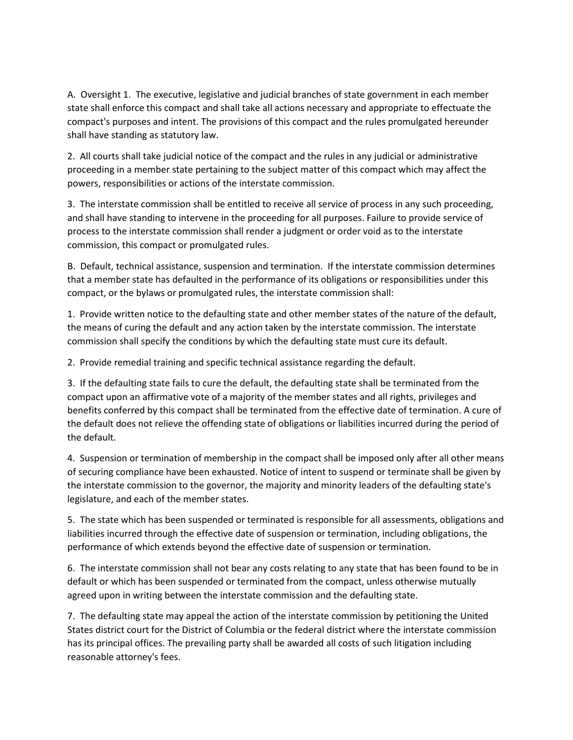A. Oversight 1. The executive, legislative and judicial branches of state government in each member state shall enforce this compact and shall take all actions necessary and appropriate to effectuate the compact's purposes and intent. The provisions of this compact and the rules promulgated hereunder shall have standing as statutory law.

2. All courts shall take judicial notice of the compact and the rules in any judicial or administrative proceeding in a member state pertaining to the subject matter of this compact which may affect the powers, responsibilities or actions of the interstate commission.

3. The interstate commission shall be entitled to receive all service of process in any such proceeding, and shall have standing to intervene in the proceeding for all purposes. Failure to provide service of process to the interstate commission shall render a judgment or order void as to the interstate commission, this compact or promulgated rules.

B. Default, technical assistance, suspension and termination. If the interstate commission determines that a member state has defaulted in the performance of its obligations or responsibilities under this compact, or the bylaws or promulgated rules, the interstate commission shall:

1. Provide written notice to the defaulting state and other member states of the nature of the default, the means of curing the default and any action taken by the interstate commission. The interstate commission shall specify the conditions by which the defaulting state must cure its default.

2. Provide remedial training and specific technical assistance regarding the default.

3. If the defaulting state fails to cure the default, the defaulting state shall be terminated from the compact upon an affirmative vote of a majority of the member states and all rights, privileges and benefits conferred by this compact shall be terminated from the effective date of termination. A cure of the default does not relieve the offending state of obligations or liabilities incurred during the period of the default.

4. Suspension or termination of membership in the compact shall be imposed only after all other means of securing compliance have been exhausted. Notice of intent to suspend or terminate shall be given by the interstate commission to the governor, the majority and minority leaders of the defaulting state's legislature, and each of the member states.

5. The state which has been suspended or terminated is responsible for all assessments, obligations and liabilities incurred through the effective date of suspension or termination, including obligations, the performance of which extends beyond the effective date of suspension or termination.

6. The interstate commission shall not bear any costs relating to any state that has been found to be in default or which has been suspended or terminated from the compact, unless otherwise mutually agreed upon in writing between the interstate commission and the defaulting state.

7. The defaulting state may appeal the action of the interstate commission by petitioning the United States district court for the District of Columbia or the federal district where the interstate commission has its principal offices. The prevailing party shall be awarded all costs of such litigation including reasonable attorney's fees.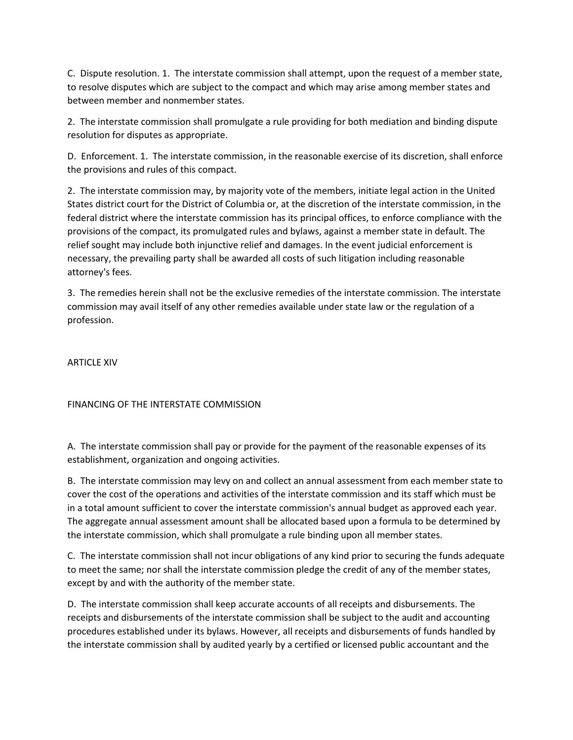C. Dispute resolution. 1. The interstate commission shall attempt, upon the request of a member state, to resolve disputes which are subject to the compact and which may arise among member states and between member and nonmember states.

2. The interstate commission shall promulgate a rule providing for both mediation and binding dispute resolution for disputes as appropriate.

D. Enforcement. 1. The interstate commission, in the reasonable exercise of its discretion, shall enforce the provisions and rules of this compact.

2. The interstate commission may, by majority vote of the members, initiate legal action in the United States district court for the District of Columbia or, at the discretion of the interstate commission, in the federal district where the interstate commission has its principal offices, to enforce compliance with the provisions of the compact, its promulgated rules and bylaws, against a member state in default. The relief sought may include both injunctive relief and damages. In the event judicial enforcement is necessary, the prevailing party shall be awarded all costs of such litigation including reasonable attorney's fees.

3. The remedies herein shall not be the exclusive remedies of the interstate commission. The interstate commission may avail itself of any other remedies available under state law or the regulation of a profession.

ARTICLE XIV

FINANCING OF THE INTERSTATE COMMISSION

A. The interstate commission shall pay or provide for the payment of the reasonable expenses of its establishment, organization and ongoing activities.

B. The interstate commission may levy on and collect an annual assessment from each member state to cover the cost of the operations and activities of the interstate commission and its staff which must be in a total amount sufficient to cover the interstate commission's annual budget as approved each year. The aggregate annual assessment amount shall be allocated based upon a formula to be determined by the interstate commission, which shall promulgate a rule binding upon all member states.

C. The interstate commission shall not incur obligations of any kind prior to securing the funds adequate to meet the same; nor shall the interstate commission pledge the credit of any of the member states, except by and with the authority of the member state.

D. The interstate commission shall keep accurate accounts of all receipts and disbursements. The receipts and disbursements of the interstate commission shall be subject to the audit and accounting procedures established under its bylaws. However, all receipts and disbursements of funds handled by the interstate commission shall by audited yearly by a certified or licensed public accountant and the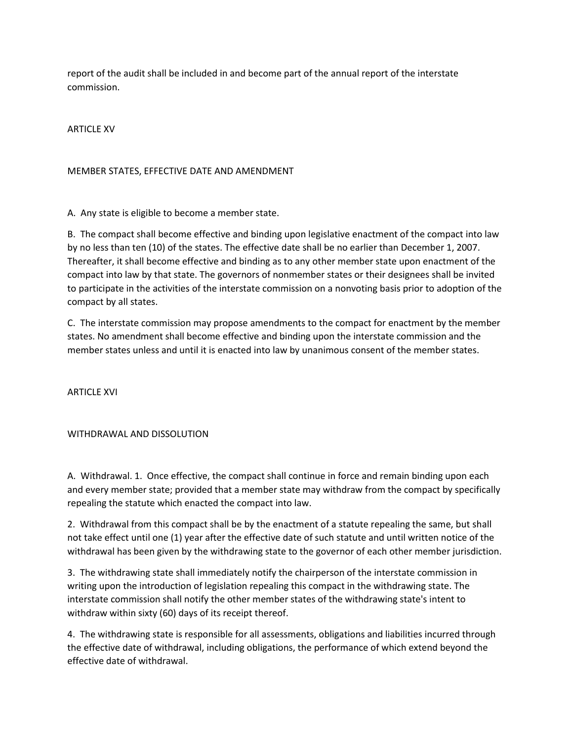report of the audit shall be included in and become part of the annual report of the interstate commission.

ARTICLE XV

## MEMBER STATES, EFFECTIVE DATE AND AMENDMENT

A. Any state is eligible to become a member state.

B. The compact shall become effective and binding upon legislative enactment of the compact into law by no less than ten (10) of the states. The effective date shall be no earlier than December 1, 2007. Thereafter, it shall become effective and binding as to any other member state upon enactment of the compact into law by that state. The governors of nonmember states or their designees shall be invited to participate in the activities of the interstate commission on a nonvoting basis prior to adoption of the compact by all states.

C. The interstate commission may propose amendments to the compact for enactment by the member states. No amendment shall become effective and binding upon the interstate commission and the member states unless and until it is enacted into law by unanimous consent of the member states.

ARTICLE XVI

### WITHDRAWAL AND DISSOLUTION

A. Withdrawal. 1. Once effective, the compact shall continue in force and remain binding upon each and every member state; provided that a member state may withdraw from the compact by specifically repealing the statute which enacted the compact into law.

2. Withdrawal from this compact shall be by the enactment of a statute repealing the same, but shall not take effect until one (1) year after the effective date of such statute and until written notice of the withdrawal has been given by the withdrawing state to the governor of each other member jurisdiction.

3. The withdrawing state shall immediately notify the chairperson of the interstate commission in writing upon the introduction of legislation repealing this compact in the withdrawing state. The interstate commission shall notify the other member states of the withdrawing state's intent to withdraw within sixty (60) days of its receipt thereof.

4. The withdrawing state is responsible for all assessments, obligations and liabilities incurred through the effective date of withdrawal, including obligations, the performance of which extend beyond the effective date of withdrawal.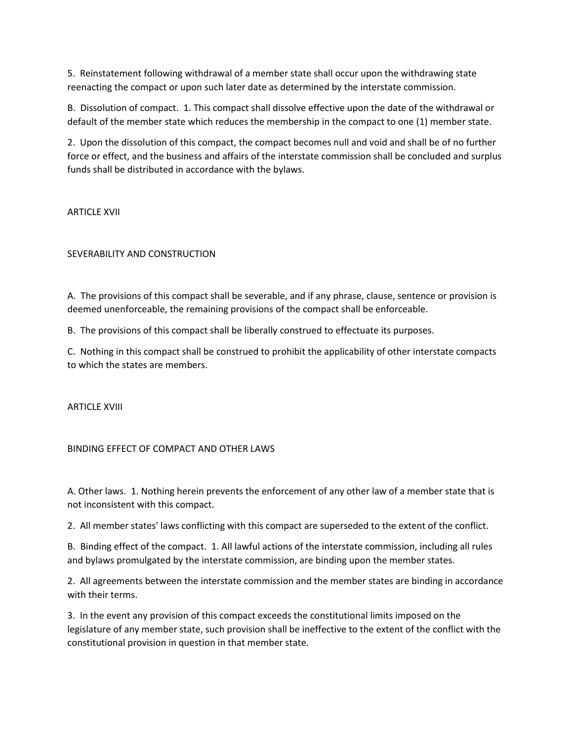5. Reinstatement following withdrawal of a member state shall occur upon the withdrawing state reenacting the compact or upon such later date as determined by the interstate commission.

B. Dissolution of compact. 1. This compact shall dissolve effective upon the date of the withdrawal or default of the member state which reduces the membership in the compact to one (1) member state.

2. Upon the dissolution of this compact, the compact becomes null and void and shall be of no further force or effect, and the business and affairs of the interstate commission shall be concluded and surplus funds shall be distributed in accordance with the bylaws.

### ARTICLE XVII

# SEVERABILITY AND CONSTRUCTION

A. The provisions of this compact shall be severable, and if any phrase, clause, sentence or provision is deemed unenforceable, the remaining provisions of the compact shall be enforceable.

B. The provisions of this compact shall be liberally construed to effectuate its purposes.

C. Nothing in this compact shall be construed to prohibit the applicability of other interstate compacts to which the states are members.

ARTICLE XVIII

### BINDING EFFECT OF COMPACT AND OTHER LAWS

A. Other laws. 1. Nothing herein prevents the enforcement of any other law of a member state that is not inconsistent with this compact.

2. All member states' laws conflicting with this compact are superseded to the extent of the conflict.

B. Binding effect of the compact. 1. All lawful actions of the interstate commission, including all rules and bylaws promulgated by the interstate commission, are binding upon the member states.

2. All agreements between the interstate commission and the member states are binding in accordance with their terms.

3. In the event any provision of this compact exceeds the constitutional limits imposed on the legislature of any member state, such provision shall be ineffective to the extent of the conflict with the constitutional provision in question in that member state.